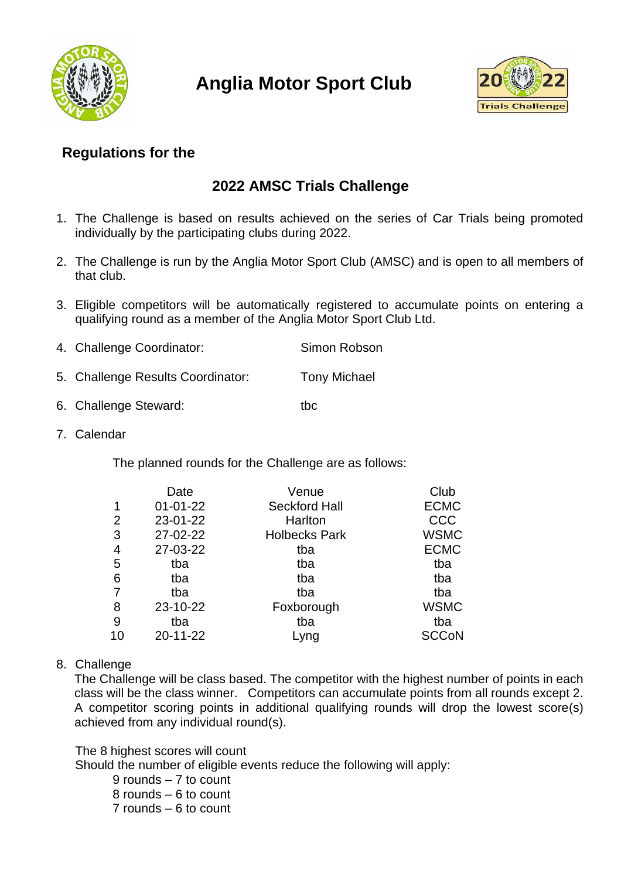

**Anglia Motor Sport Club**



# **Regulations for the**

# **2022 AMSC Trials Challenge**

- 1. The Challenge is based on results achieved on the series of Car Trials being promoted individually by the participating clubs during 2022.
- 2. The Challenge is run by the Anglia Motor Sport Club (AMSC) and is open to all members of that club.
- 3. Eligible competitors will be automatically registered to accumulate points on entering a qualifying round as a member of the Anglia Motor Sport Club Ltd.

| 4. Challenge Coordinator: | Simon Robson |
|---------------------------|--------------|
|                           |              |

- 5. Challenge Results Coordinator: Tony Michael
- 6. Challenge Steward: tbc
- 7. Calendar

The planned rounds for the Challenge are as follows:

| Date           | Venue                | Club         |
|----------------|----------------------|--------------|
| $01 - 01 - 22$ | <b>Seckford Hall</b> | <b>ECMC</b>  |
| 23-01-22       | Harlton              | CCC          |
| 27-02-22       | <b>Holbecks Park</b> | <b>WSMC</b>  |
| 27-03-22       | tba                  | <b>ECMC</b>  |
| tba            | tba                  | tba          |
| tba            | tba                  | tba          |
| tba            | tba                  | tba          |
| 23-10-22       | Foxborough           | <b>WSMC</b>  |
| tba            | tba                  | tba          |
| 20-11-22       | Lyng                 | <b>SCCoN</b> |
|                |                      |              |

8. Challenge

The Challenge will be class based. The competitor with the highest number of points in each class will be the class winner. Competitors can accumulate points from all rounds except 2. A competitor scoring points in additional qualifying rounds will drop the lowest score(s) achieved from any individual round(s).

#### The 8 highest scores will count

Should the number of eligible events reduce the following will apply:

- 9 rounds 7 to count
- 8 rounds 6 to count
- 7 rounds 6 to count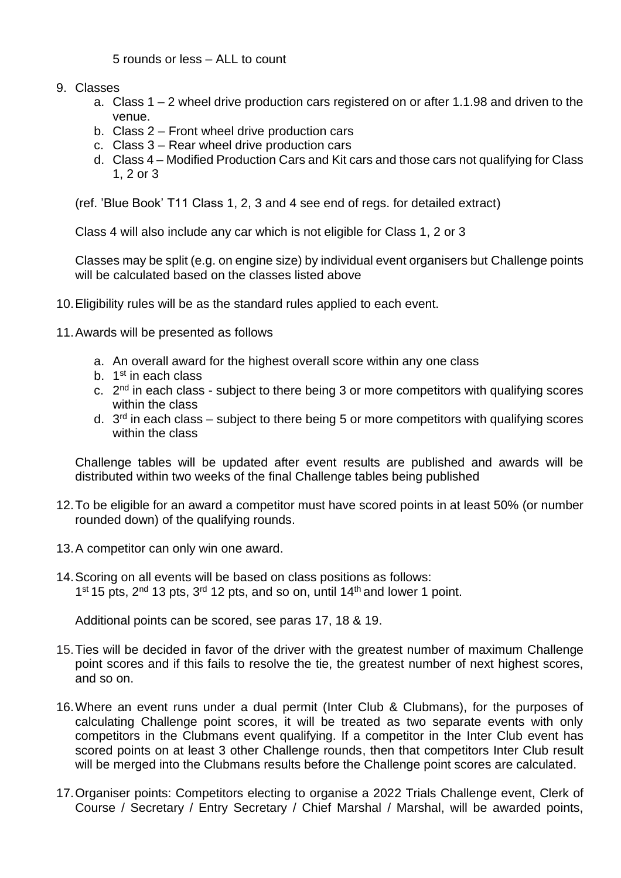5 rounds or less – ALL to count

- 9. Classes
	- a. Class 1 2 wheel drive production cars registered on or after 1.1.98 and driven to the venue.
	- b. Class 2 Front wheel drive production cars
	- c. Class 3 Rear wheel drive production cars
	- d. Class 4 Modified Production Cars and Kit cars and those cars not qualifying for Class 1, 2 or 3

(ref. 'Blue Book' T11 Class 1, 2, 3 and 4 see end of regs. for detailed extract)

Class 4 will also include any car which is not eligible for Class 1, 2 or 3

Classes may be split (e.g. on engine size) by individual event organisers but Challenge points will be calculated based on the classes listed above

- 10.Eligibility rules will be as the standard rules applied to each event.
- 11.Awards will be presented as follows
	- a. An overall award for the highest overall score within any one class
	- b. 1<sup>st</sup> in each class
	- c. 2<sup>nd</sup> in each class subject to there being 3 or more competitors with qualifying scores within the class
	- d. 3<sup>rd</sup> in each class subject to there being 5 or more competitors with qualifying scores within the class

Challenge tables will be updated after event results are published and awards will be distributed within two weeks of the final Challenge tables being published

- 12.To be eligible for an award a competitor must have scored points in at least 50% (or number rounded down) of the qualifying rounds.
- 13.A competitor can only win one award.
- 14.Scoring on all events will be based on class positions as follows: 1<sup>st</sup> 15 pts, 2<sup>nd</sup> 13 pts, 3<sup>rd</sup> 12 pts, and so on, until 14<sup>th</sup> and lower 1 point.

Additional points can be scored, see paras 17, 18 & 19.

- 15.Ties will be decided in favor of the driver with the greatest number of maximum Challenge point scores and if this fails to resolve the tie, the greatest number of next highest scores, and so on.
- 16.Where an event runs under a dual permit (Inter Club & Clubmans), for the purposes of calculating Challenge point scores, it will be treated as two separate events with only competitors in the Clubmans event qualifying. If a competitor in the Inter Club event has scored points on at least 3 other Challenge rounds, then that competitors Inter Club result will be merged into the Clubmans results before the Challenge point scores are calculated.
- 17.Organiser points: Competitors electing to organise a 2022 Trials Challenge event, Clerk of Course / Secretary / Entry Secretary / Chief Marshal / Marshal, will be awarded points,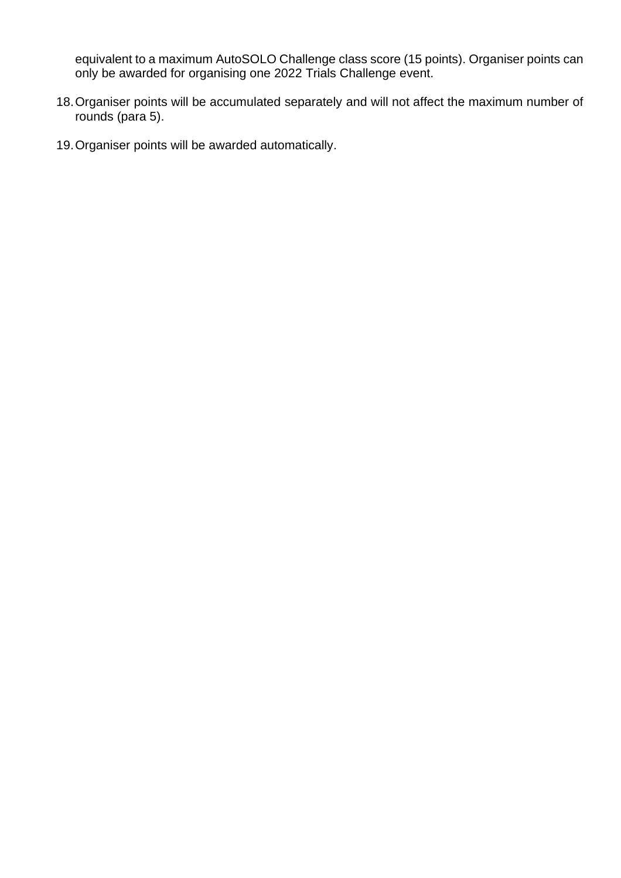equivalent to a maximum AutoSOLO Challenge class score (15 points). Organiser points can only be awarded for organising one 2022 Trials Challenge event.

- 18.Organiser points will be accumulated separately and will not affect the maximum number of rounds (para 5).
- 19.Organiser points will be awarded automatically.